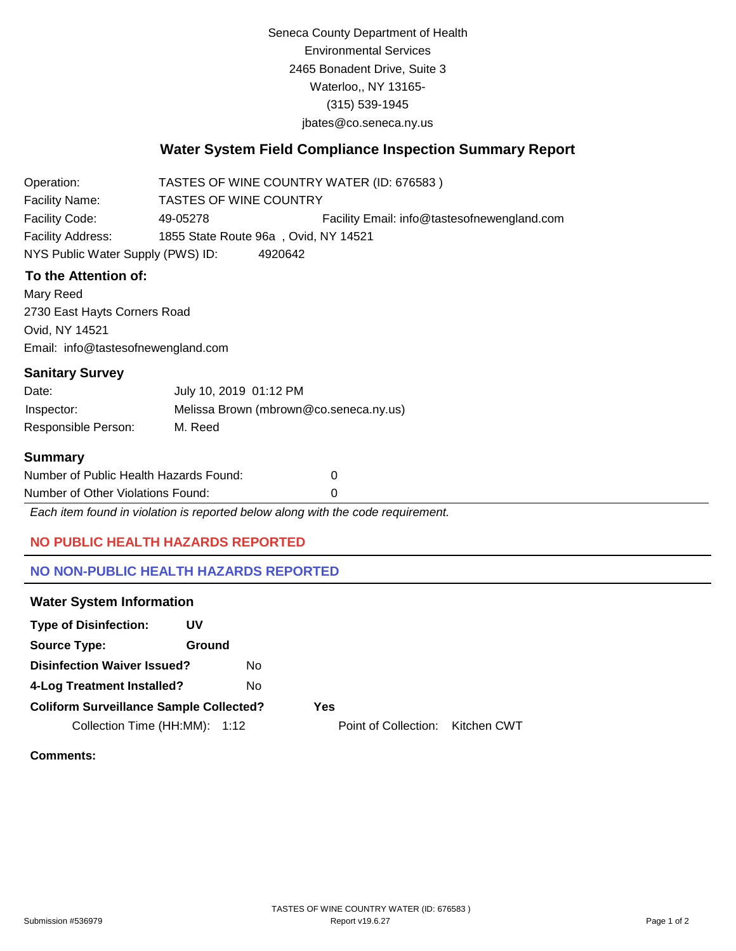Seneca County Department of Health Environmental Services 2465 Bonadent Drive, Suite 3 Waterloo,, NY 13165- (315) 539-1945 [jbates@co.seneca.ny.us](mailto:jbates@co.seneca.ny.us)

# **Water System Field Compliance Inspection Summary Report**

Operation: Facility Name: TASTES OF WINE COUNTRY WATER (ID: 676583 ) TASTES OF WINE COUNTRY Facility Code: 49-05278 Facility Email: [info@tastesofnewengland.com](mailto:info@tastesofnewengland.com) Facility Address: 1855 State Route 96a , Ovid, NY 14521 NYS Public Water Supply (PWS) ID: 4920642

# **To the Attention of:**

Mary Reed 2730 East Hayts Corners Road Ovid, NY 14521 [Email: info@tastesofnewengland.com](mailto:info@tastesofnewengland.com)

### **Sanitary Survey**

| Date:               | July 10, 2019 01:12 PM                 |
|---------------------|----------------------------------------|
| Inspector:          | Melissa Brown (mbrown@co.seneca.ny.us) |
| Responsible Person: | M. Reed                                |

### **Summary**

| Number of Public Health Hazards Found: |  |
|----------------------------------------|--|
| Number of Other Violations Found:      |  |

*Each item found in violation is reported below along with the code requirement.*

# **NO PUBLIC HEALTH HAZARDS REPORTED**

# **NO NON-PUBLIC HEALTH HAZARDS REPORTED**

#### **Water System Information**

| <b>Type of Disinfection:</b>                   | UV     |  |
|------------------------------------------------|--------|--|
| <b>Source Type:</b>                            | Ground |  |
| <b>Disinfection Waiver Issued?</b>             | N٥     |  |
| 4-Log Treatment Installed?                     | N٥     |  |
| <b>Coliform Surveillance Sample Collected?</b> | Yes    |  |
| Collection Time (HH:MM):                       | 1:12   |  |

Point of Collection: Kitchen CWT

## **Comments:**